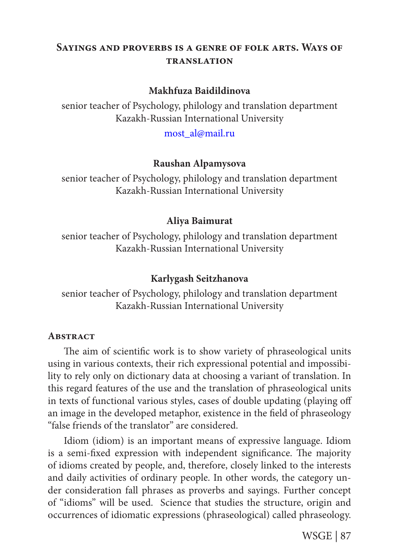# **Sayings and proverbs is a genre of folk arts. Ways of translation**

### **Makhfuza Baidildinova**

senior teacher of Psychology, philology and translation department Kazakh-Russian International University

most\_al@mail.ru

### **Raushan Alpamysova**

senior teacher of Psychology, philology and translation department Kazakh-Russian International University

### **Aliya Baimurat**

senior teacher of Psychology, philology and translation department Kazakh-Russian International University

### **Karlygash Seitzhanova**

senior teacher of Psychology, philology and translation department Kazakh-Russian International University

#### **ABSTRACT**

The aim of scientific work is to show variety of phraseological units using in various contexts, their rich expressional potential and impossibility to rely only on dictionary data at choosing a variant of translation. In this regard features of the use and the translation of phraseological units in texts of functional various styles, cases of double updating (playing off an image in the developed metaphor, existence in the field of phraseology "false friends of the translator" are considered.

Idiom (idiom) is an important means of expressive language. Idiom is a semi-fixed expression with independent significance. The majority of idioms created by people, and, therefore, closely linked to the interests and daily activities of ordinary people. In other words, the category under consideration fall phrases as proverbs and sayings. Further concept of "idioms" will be used. Science that studies the structure, origin and occurrences of idiomatic expressions (phraseological) called phraseology.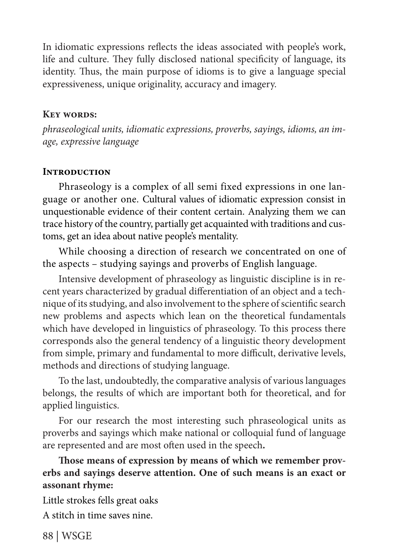In idiomatic expressions reflects the ideas associated with people's work, life and culture. They fully disclosed national specificity of language, its identity. Thus, the main purpose of idioms is to give a language special expressiveness, unique originality, accuracy and imagery.

### **Key words:**

*phraseological units, idiomatic expressions, proverbs, sayings, idioms, an image, expressive language*

### **Introduction**

Phraseology is a complex of all semi fixed expressions in one language or another one. Cultural values of idiomatic expression consist in unquestionable evidence of their content certain. Analyzing them we can trace history of the country, partially get acquainted with traditions and customs, get an idea about native people's mentality.

While choosing a direction of research we concentrated on one of the aspects – studying sayings and proverbs of English language.

Intensive development of phraseology as linguistic discipline is in recent years characterized by gradual differentiation of an object and a technique of its studying, and also involvement to the sphere of scientific search new problems and aspects which lean on the theoretical fundamentals which have developed in linguistics of phraseology. To this process there corresponds also the general tendency of a linguistic theory development from simple, primary and fundamental to more difficult, derivative levels, methods and directions of studying language.

To the last, undoubtedly, the comparative analysis of various languages belongs, the results of which are important both for theoretical, and for applied linguistics.

For our research the most interesting such phraseological units as proverbs and sayings which make national or colloquial fund of language are represented and are most often used in the speech**.**

## **Those means of expression by means of which we remember proverbs and sayings deserve attention. One of such means is an exact or assonant rhyme:**

Little strokes fells great oaks

A stitch in time saves nine.

88 | WSGE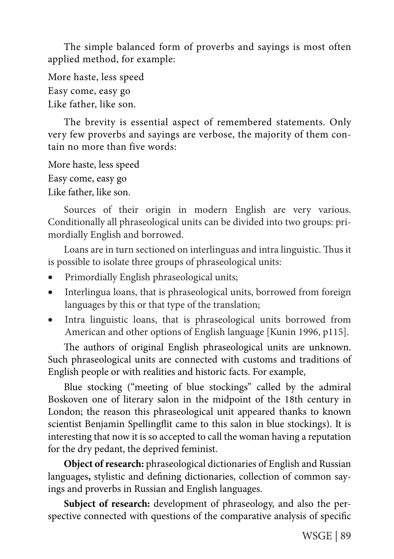The simple balanced form of proverbs and sayings is most often applied method, for example:

More haste, less speed Easy come, easy go Like father, like son.

The brevity is essential aspect of remembered statements. Only very few proverbs and sayings are verbose, the majority of them contain no more than five words:

More haste, less speed Easy come, easy go Like father, like son.

Sources of their origin in modern English are very various. Conditionally all phraseological units can be divided into two groups: primordially English and borrowed.

Loans are in turn sectioned on interlinguas and intra linguistic. Thus it is possible to isolate three groups of phraseological units:

- Primordially English phraseological units;
- Interlingua loans, that is phraseological units, borrowed from foreign languages by this or that type of the translation;
- Intra linguistic loans, that is phraseological units borrowed from American and other options of English language [Kunin 1996, p115].

The authors of original English phraseological units are unknown. Such phraseological units are connected with customs and traditions of English people or with realities and historic facts. For example,

Blue stocking ("meeting of blue stockings" called by the admiral Boskoven one of literary salon in the midpoint of the 18th century in London; the reason this phraseological unit appeared thanks to known scientist Benjamin Spellingflit came to this salon in blue stockings). It is interesting that now it is so accepted to call the woman having a reputation for the dry pedant, the deprived feminist.

**Object of research:** phraseological dictionaries of English and Russian languages**,** stylistic and defining dictionaries, collection of common sayings and proverbs in Russian and English languages.

Subject of research: development of phraseology, and also the perspective connected with questions of the comparative analysis of specific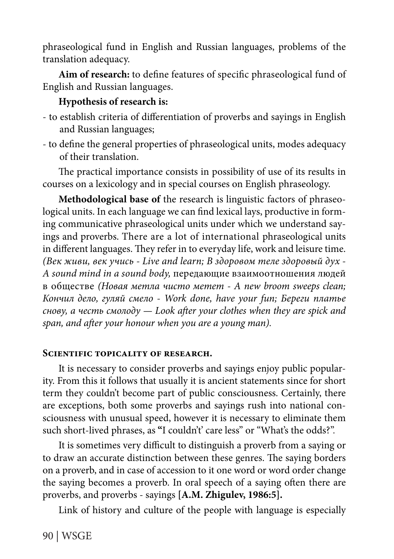phraseological fund in English and Russian languages, problems of the translation adequacy.

**Aim of research:** to define features of specific phraseological fund of English and Russian languages.

## **Hypothesis of research is:**

- to establish criteria of differentiation of proverbs and sayings in English and Russian languages;
- to define the general properties of phraseological units, modes adequacy of their translation.

The practical importance consists in possibility of use of its results in courses on a lexicology and in special courses on English phraseology.

**Methodological base of** the research is linguistic factors of phraseological units. In each language we can find lexical lays, productive in forming communicative phraseological units under which we understand sayings and proverbs. There are a lot of international phraseological units in different languages. They refer in to everyday life, work and leisure time. *(Век живи, век учись - Live and learn; В здоровом теле здоровый дух - A sound mind in a sound body,* передающие взаимоотношения людей в обществе *(Новая метла чисто метет - A new broom sweeps clean; Кончил дело, гуляй смело - Work done, have your fun; Береги платье снову, а честь смолоду — Look after your clothes when they are spick and span, and after your honour when you are a young man).*

### **SCIENTIFIC TOPICALITY OF RESEARCH.**

It is necessary to consider proverbs and sayings enjoy public popularity. From this it follows that usually it is ancient statements since for short term they couldn't become part of public consciousness. Certainly, there are exceptions, both some proverbs and sayings rush into national consciousness with unusual speed, however it is necessary to eliminate them such short-lived phrases, as **"**I couldn't' care less" or "What's the odds?".

It is sometimes very difficult to distinguish a proverb from a saying or to draw an accurate distinction between these genres. The saying borders on a proverb, and in case of accession to it one word or word order change the saying becomes a proverb. In oral speech of a saying often there are proverbs, and proverbs - sayings **[A.M. Zhigulev, 1986:5].**

Link of history and culture of the people with language is especially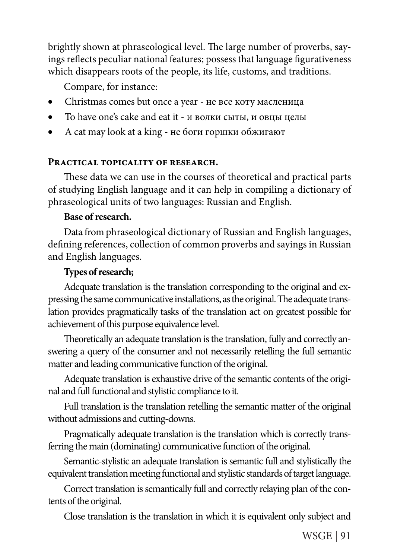brightly shown at phraseological level. The large number of proverbs, sayings reflects peculiar national features; possess that language figurativeness which disappears roots of the people, its life, customs, and traditions.

Compare, for instance:

- Christmas comes but once a year не все коту масленица
- To have one's cake and eat it и волки сыты, и овцы целы
- A cat may look at a king не боги горшки обжигают

## **Practical topicality of research.**

These data we can use in the courses of theoretical and practical parts of studying English language and it can help in compiling a dictionary of phraseological units of two languages: Russian and English.

## **Base of research.**

Data from phraseological dictionary of Russian and English languages, defining references, collection of common proverbs and sayings in Russian and English languages.

# **Types of research;**

Adequate translation is the translation corresponding to the original and expressing the same communicative installations, as the original. The adequate translation provides pragmatically tasks of the translation act on greatest possible for achievement of this purpose equivalence level.

Theoretically an adequate translation is the translation, fully and correctly answering a query of the consumer and not necessarily retelling the full semantic matter and leading communicative function of the original.

Adequate translation is exhaustive drive of the semantic contents of the original and full functional and stylistic compliance to it.

Full translation is the translation retelling the semantic matter of the original without admissions and cutting-downs.

Pragmatically adequate translation is the translation which is correctly transferring the main (dominating) communicative function of the original.

Semantic-stylistic an adequate translation is semantic full and stylistically the equivalent translation meeting functional and stylistic standards of target language.

Correct translation is semantically full and correctly relaying plan of the contents of the original.

Close translation is the translation in which it is equivalent only subject and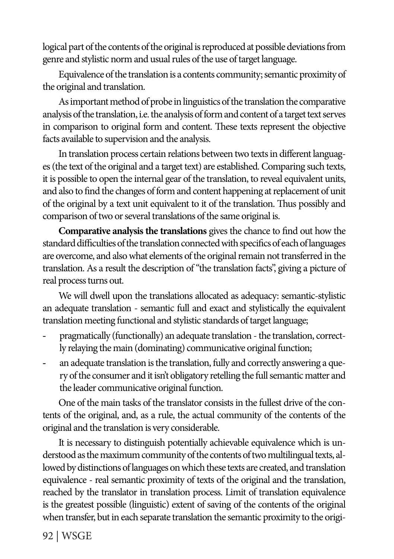logical part of the contents of the original is reproduced at possible deviations from genre and stylistic norm and usual rules of the use of target language.

Equivalence of the translation is a contents community; semantic proximity of the original and translation.

As important method of probe in linguistics of the translation the comparative analysis of the translation, i.e. the analysis of form and content of a target text serves in comparison to original form and content. These texts represent the objective facts available to supervision and the analysis.

In translation process certain relations between two texts in different languages (the text of the original and a target text) are established. Comparing such texts, it is possible to open the internal gear of the translation, to reveal equivalent units, and also to find the changes of form and content happening at replacement of unit of the original by a text unit equivalent to it of the translation. Thus possibly and comparison of two or several translations of the same original is.

**Comparative analysis the translations** gives the chance to find out how the standard difficulties of the translation connected with specifics of each of languages are overcome, and also what elements of the original remain not transferred in the translation. As a result the description of "the translation facts", giving a picture of real process turns out.

We will dwell upon the translations allocated as adequacy: semantic-stylistic an adequate translation - semantic full and exact and stylistically the equivalent translation meeting functional and stylistic standards of target language;

- pragmatically (functionally) an adequate translation the translation, correctly relaying the main (dominating) communicative original function;
- an adequate translation is the translation, fully and correctly answering a query of the consumer and it isn't obligatory retelling the full semantic matter and the leader communicative original function.

One of the main tasks of the translator consists in the fullest drive of the contents of the original, and, as a rule, the actual community of the contents of the original and the translation is very considerable.

It is necessary to distinguish potentially achievable equivalence which is understood as the maximum community of the contents of two multilingual texts, allowed by distinctions of languages on which these texts are created, and translation equivalence - real semantic proximity of texts of the original and the translation, reached by the translator in translation process. Limit of translation equivalence is the greatest possible (linguistic) extent of saving of the contents of the original when transfer, but in each separate translation the semantic proximity to the origi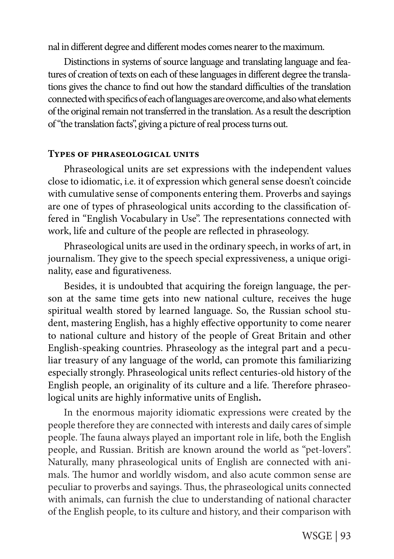nal in different degree and different modes comes nearer to the maximum.

Distinctions in systems of source language and translating language and features of creation of texts on each of these languages in different degree the translations gives the chance to find out how the standard difficulties of the translation connected with specifics of each of languages are overcome, and also what elements of the original remain not transferred in the translation. As a result the description of "the translation facts", giving a picture of real process turns out.

### **Types of phraseological units**

Phraseological units are set expressions with the independent values close to idiomatic, i.e. it of expression which general sense doesn't coincide with cumulative sense of components entering them. Proverbs and sayings are one of types of phraseological units according to the classification offered in "English Vocabulary in Use". The representations connected with work, life and culture of the people are reflected in phraseology.

Phraseological units are used in the ordinary speech, in works of art, in journalism. They give to the speech special expressiveness, a unique originality, ease and figurativeness.

Besides, it is undoubted that acquiring the foreign language, the person at the same time gets into new national culture, receives the huge spiritual wealth stored by learned language. So, the Russian school student, mastering English, has a highly effective opportunity to come nearer to national culture and history of the people of Great Britain and other English-speaking countries. Phraseology as the integral part and a peculiar treasury of any language of the world, can promote this familiarizing especially strongly. Phraseological units reflect centuries-old history of the English people, an originality of its culture and a life. Therefore phraseological units are highly informative units of English**.**

In the enormous majority idiomatic expressions were created by the people therefore they are connected with interests and daily cares of simple people. The fauna always played an important role in life, both the English people, and Russian. British are known around the world as "pet-lovers". Naturally, many phraseological units of English are connected with animals. The humor and worldly wisdom, and also acute common sense are peculiar to proverbs and sayings. Thus, the phraseological units connected with animals, can furnish the clue to understanding of national character of the English people, to its culture and history, and their comparison with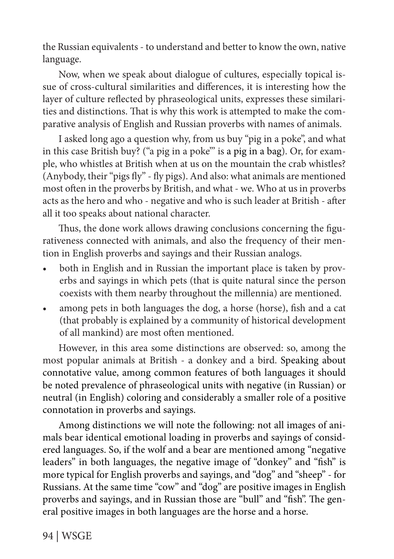the Russian equivalents - to understand and better to know the own, native language.

Now, when we speak about dialogue of cultures, especially topical issue of cross-cultural similarities and differences, it is interesting how the layer of culture reflected by phraseological units, expresses these similarities and distinctions. That is why this work is attempted to make the comparative analysis of English and Russian proverbs with names of animals.

I asked long ago a question why, from us buy "pig in a poke", and what in this case British buy? ("a pig in a poke" is a pig in a bag). Or, for example, who whistles at British when at us on the mountain the crab whistles? (Anybody, their "pigs fly" - fly pigs). And also: what animals are mentioned most often in the proverbs by British, and what - we. Who at us in proverbs acts as the hero and who - negative and who is such leader at British - after all it too speaks about national character.

Thus, the done work allows drawing conclusions concerning the figurativeness connected with animals, and also the frequency of their mention in English proverbs and sayings and their Russian analogs.

- both in English and in Russian the important place is taken by proverbs and sayings in which pets (that is quite natural since the person coexists with them nearby throughout the millennia) are mentioned.
- among pets in both languages the dog, a horse (horse), fish and a cat (that probably is explained by a community of historical development of all mankind) are most often mentioned.

However, in this area some distinctions are observed: so, among the most popular animals at British - a donkey and a bird. Speaking about connotative value, among common features of both languages it should be noted prevalence of phraseological units with negative (in Russian) or neutral (in English) coloring and considerably a smaller role of a positive connotation in proverbs and sayings.

Among distinctions we will note the following: not all images of animals bear identical emotional loading in proverbs and sayings of considered languages. So, if the wolf and a bear are mentioned among "negative leaders" in both languages, the negative image of "donkey" and "fish" is more typical for English proverbs and sayings, and "dog" and "sheep" - for Russians. At the same time "cow" and "dog" are positive images in English proverbs and sayings, and in Russian those are "bull" and "fish". The general positive images in both languages are the horse and a horse.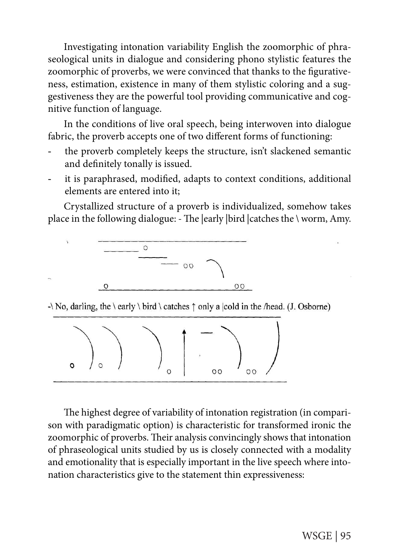Investigating intonation variability English the zoomorphic of phraseological units in dialogue and considering phono stylistic features the zoomorphic of proverbs, we were convinced that thanks to the figurativeness, estimation, existence in many of them stylistic coloring and a suggestiveness they are the powerful tool providing communicative and cognitive function of language.

In the conditions of live oral speech, being interwoven into dialogue fabric, the proverb accepts one of two different forms of functioning:

- the proverb completely keeps the structure, isn't slackened semantic and definitely tonally is issued.
- it is paraphrased, modified, adapts to context conditions, additional elements are entered into it;

Crystallized structure of a proverb is individualized, somehow takes place in the following dialogue: - The |early |bird |catches the \ worm, Amy.



 $\cdot \$  No, darling, the \early \ bird \ catches  $\uparrow$  only a |cold in the /head. (J. Osborne)



The highest degree of variability of intonation registration (in comparison with paradigmatic option) is characteristic for transformed ironic the zoomorphic of proverbs. Their analysis convincingly shows that intonation of phraseological units studied by us is closely connected with a modality and emotionality that is especially important in the live speech where intonation characteristics give to the statement thin expressiveness: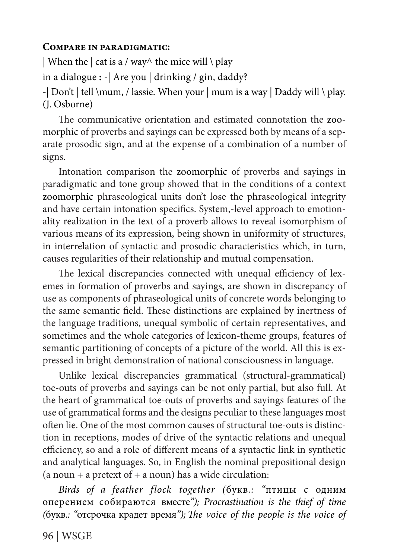### **Compare in paradigmatic:**

| When the  $|$  cat is a / way^ the mice will  $\setminus$  play in a dialogue **:** -| Are you | drinking / gin, daddy? -| Don't | tell \mum, / lassie. When your | mum is a way | Daddy will \ play. (J. Osborne)

The communicative orientation and estimated connotation the zoomorphic of proverbs and sayings can be expressed both by means of a separate prosodic sign, and at the expense of a combination of a number of signs.

Intonation comparison the zoomorphic of proverbs and sayings in paradigmatic and tone group showed that in the conditions of a context zoomorphic phraseological units don't lose the phraseological integrity and have certain intonation specifics. System,-level approach to emotionality realization in the text of a proverb allows to reveal isomorphism of various means of its expression, being shown in uniformity of structures, in interrelation of syntactic and prosodic characteristics which, in turn, causes regularities of their relationship and mutual compensation.

The lexical discrepancies connected with unequal efficiency of lexemes in formation of proverbs and sayings, are shown in discrepancy of use as components of phraseological units of concrete words belonging to the same semantic field. These distinctions are explained by inertness of the language traditions, unequal symbolic of certain representatives, and sometimes and the whole categories of lexicon-theme groups, features of semantic partitioning of concepts of a picture of the world. All this is expressed in bright demonstration of national consciousness in language.

Unlike lexical discrepancies grammatical (structural-grammatical) toe-outs of proverbs and sayings can be not only partial, but also full. At the heart of grammatical toe-outs of proverbs and sayings features of the use of grammatical forms and the designs peculiar to these languages most often lie. One of the most common causes of structural toe-outs is distinction in receptions, modes of drive of the syntactic relations and unequal efficiency, so and a role of different means of a syntactic link in synthetic and analytical languages. So, in English the nominal prepositional design (a noun + a pretext of + a noun) has a wide circulation:

*Birds of a feather flock together (*букв*.: "*птицы с одним оперением собираются вместе*"); Procrastination is the thief of time (*букв*.: "*отсрочка крадет время*");The voice of the people is the voice of* 

96 | WSGE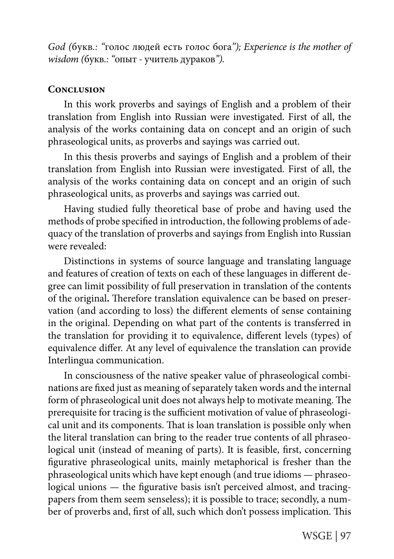*God (*букв*.: "*голос людей есть голос бога*"); Experience is the mother of wisdom (*букв*.: "*опыт *-* учитель дураков*").*

### **Conclusion**

In this work proverbs and sayings of English and a problem of their translation from English into Russian were investigated. First of all, the analysis of the works containing data on concept and an origin of such phraseological units, as proverbs and sayings was carried out.

In this thesis proverbs and sayings of English and a problem of their translation from English into Russian were investigated. First of all, the analysis of the works containing data on concept and an origin of such phraseological units, as proverbs and sayings was carried out.

Having studied fully theoretical base of probe and having used the methods of probe specified in introduction, the following problems of adequacy of the translation of proverbs and sayings from English into Russian were revealed:

Distinctions in systems of source language and translating language and features of creation of texts on each of these languages in different degree can limit possibility of full preservation in translation of the contents of the original**.** Therefore translation equivalence can be based on preservation (and according to loss) the different elements of sense containing in the original. Depending on what part of the contents is transferred in the translation for providing it to equivalence, different levels (types) of equivalence differ. At any level of equivalence the translation can provide Interlingua communication.

In consciousness of the native speaker value of phraseological combinations are fixed just as meaning of separately taken words and the internal form of phraseological unit does not always help to motivate meaning. The prerequisite for tracing is the sufficient motivation of value of phraseological unit and its components. That is loan translation is possible only when the literal translation can bring to the reader true contents of all phraseological unit (instead of meaning of parts). It is feasible, first, concerning figurative phraseological units, mainly metaphorical is fresher than the phraseological units which have kept enough (and true idioms — phraseological unions — the figurative basis isn't perceived almost, and tracingpapers from them seem senseless); it is possible to trace; secondly, a number of proverbs and, first of all, such which don't possess implication. This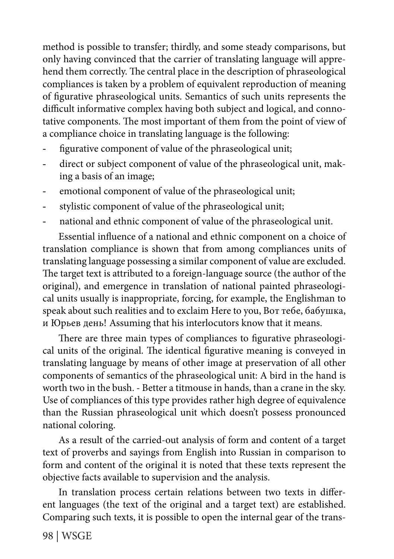method is possible to transfer; thirdly, and some steady comparisons, but only having convinced that the carrier of translating language will apprehend them correctly. The central place in the description of phraseological compliances is taken by a problem of equivalent reproduction of meaning of figurative phraseological units. Semantics of such units represents the difficult informative complex having both subject and logical, and connotative components. The most important of them from the point of view of a compliance choice in translating language is the following:

- figurative component of value of the phraseological unit;
- direct or subject component of value of the phraseological unit, making a basis of an image;
- emotional component of value of the phraseological unit;
- stylistic component of value of the phraseological unit;
- national and ethnic component of value of the phraseological unit.

Essential influence of a national and ethnic component on a choice of translation compliance is shown that from among compliances units of translating language possessing a similar component of value are excluded. The target text is attributed to a foreign-language source (the author of the original), and emergence in translation of national painted phraseological units usually is inappropriate, forcing, for example, the Englishman to speak about such realities and to exclaim Here to you, Вот тебе, бабушка, и Юрьев день! Assuming that his interlocutors know that it means.

There are three main types of compliances to figurative phraseological units of the original. The identical figurative meaning is conveyed in translating language by means of other image at preservation of all other components of semantics of the phraseological unit: A bird in the hand is worth two in the bush. - Better a titmouse in hands, than a crane in the sky. Use of compliances of this type provides rather high degree of equivalence than the Russian phraseological unit which doesn't possess pronounced national coloring.

As a result of the carried-out analysis of form and content of a target text of proverbs and sayings from English into Russian in comparison to form and content of the original it is noted that these texts represent the objective facts available to supervision and the analysis.

In translation process certain relations between two texts in different languages (the text of the original and a target text) are established. Comparing such texts, it is possible to open the internal gear of the trans-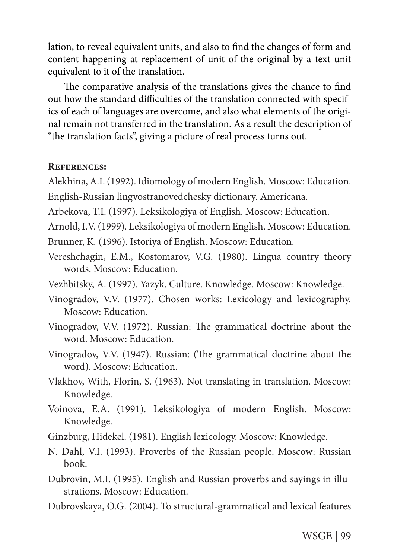lation, to reveal equivalent units, and also to find the changes of form and content happening at replacement of unit of the original by a text unit equivalent to it of the translation.

The comparative analysis of the translations gives the chance to find out how the standard difficulties of the translation connected with specifics of each of languages are overcome, and also what elements of the original remain not transferred in the translation. As a result the description of "the translation facts", giving a picture of real process turns out.

#### **References:**

Alekhina, A.I. (1992). Idiomology of modern English. Moscow: Education.

English-Russian lingvostranovedchesky dictionary. Americana.

Arbekova, T.I. (1997). Leksikologiya of English. Moscow: Education.

Arnold, I.V. (1999). Leksikologiya of modern English. Moscow: Education.

Brunner, K. (1996). Istoriya of English. Мoscow: Education.

- Vereshchagin, E.M., Kostomarov, V.G. (1980). Lingua country theory words. Moscow: Education.
- Vezhbitsky, A. (1997). Yazyk. Culture. Knowledge. Moscow: Knowledge.
- Vinogradov, V.V. (1977). Chosen works: Lexicology and lexicography. Moscow: Education.
- Vinogradov, V.V. (1972). Russian: The grammatical doctrine about the word. Moscow: Education.
- Vinogradov, V.V. (1947). Russian: (The grammatical doctrine about the word). Moscow: Education.
- Vlakhov, With, Florin, S. (1963). Not translating in translation. Moscow: Knowledge.
- Voinova, E.A. (1991). Leksikologiya of modern English. Moscow: Knowledge.
- Ginzburg, Hidekel. (1981). English lexicology. Moscow: Knowledge.
- N. Dahl, V.I. (1993). Proverbs of the Russian people. Moscow: Russian book.
- Dubrovin, M.I. (1995). English and Russian proverbs and sayings in illustrations. Moscow: Education.
- Dubrovskaya, O.G. (2004). To structural-grammatical and lexical features